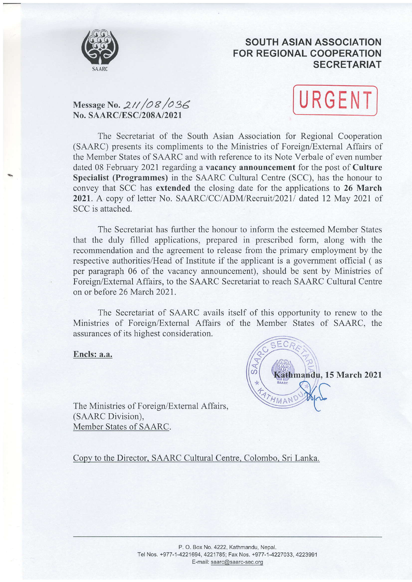

## SOUTH ASIAN ASSOCIATION FOR REGIONAL COOPERATION SECRETARIAT

# Message No. 211/08/036 No. SAARC/ESC/208A/2021



The Secretariat of the South Asian Association for Regional Cooperation (SAARC) presents its compliments to the Ministries of Foreign/Extemal Affairs of the Member States of SAARC and with reference to its Note Verbale of even number dated 08 February 2021 regarding a vacancy announcement for the post of Culture Specialist (Programmes) in the SAARC Cultural Centre (SCC), has the honour to convey that SCC has extended the closing date for the applications to 26 March 2021. A copy of letter No. SAARC/CC/ADM/Recruit/2021/ dated 12 May 2021 of SCC is attached.

The Secretariat has further the honour to inform the esteemed Member States that the duly filled applications, prepared in prescribed form, along with the recommendation and the agreement to release from the primary employment by the respective authorities/Head of Institute if the applicant is a government official ( as per paragraph 06 of the vacancy announcement), should be sent by Ministries of Foreign/Extemal Affairs, to the SAARC Secretariat to reach SAARC Cultural Centre on or before 26 March 2021.

The Secretariat of SAARC avails itself of this opportunity to renew to the Ministries of Foreign/External Affairs of the Member States of SAARC, the assurances of its highest consideration.

Encls: a.a.



The Ministries of Foreign/Extemal Affairs, (SAARC Division), Member States of SAARC.

Copy to the Director. SAARC Cultural Centre. Colombo. Sri Lanka.